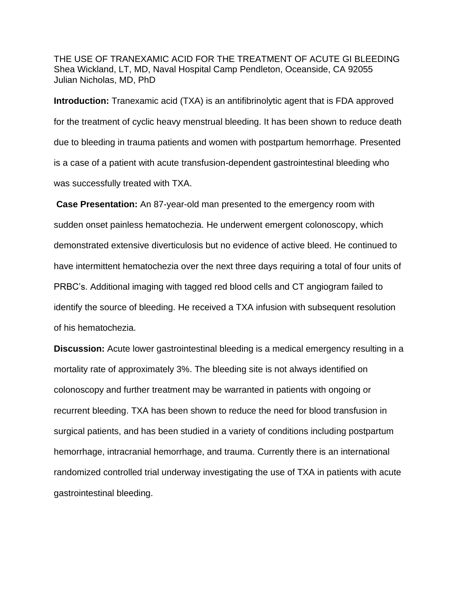THE USE OF TRANEXAMIC ACID FOR THE TREATMENT OF ACUTE GI BLEEDING Shea Wickland, LT, MD, Naval Hospital Camp Pendleton, Oceanside, CA 92055 Julian Nicholas, MD, PhD

**Introduction:** Tranexamic acid (TXA) is an antifibrinolytic agent that is FDA approved for the treatment of cyclic heavy menstrual bleeding. It has been shown to reduce death due to bleeding in trauma patients and women with postpartum hemorrhage. Presented is a case of a patient with acute transfusion-dependent gastrointestinal bleeding who was successfully treated with TXA.

**Case Presentation:** An 87-year-old man presented to the emergency room with sudden onset painless hematochezia. He underwent emergent colonoscopy, which demonstrated extensive diverticulosis but no evidence of active bleed. He continued to have intermittent hematochezia over the next three days requiring a total of four units of PRBC's. Additional imaging with tagged red blood cells and CT angiogram failed to identify the source of bleeding. He received a TXA infusion with subsequent resolution of his hematochezia.

**Discussion:** Acute lower gastrointestinal bleeding is a medical emergency resulting in a mortality rate of approximately 3%. The bleeding site is not always identified on colonoscopy and further treatment may be warranted in patients with ongoing or recurrent bleeding. TXA has been shown to reduce the need for blood transfusion in surgical patients, and has been studied in a variety of conditions including postpartum hemorrhage, intracranial hemorrhage, and trauma. Currently there is an international randomized controlled trial underway investigating the use of TXA in patients with acute gastrointestinal bleeding.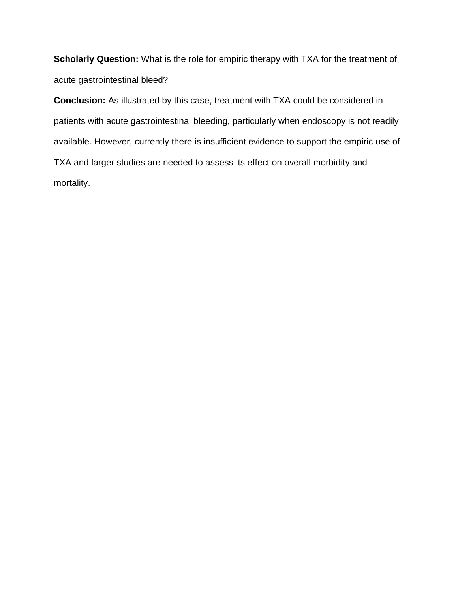**Scholarly Question:** What is the role for empiric therapy with TXA for the treatment of acute gastrointestinal bleed?

**Conclusion:** As illustrated by this case, treatment with TXA could be considered in patients with acute gastrointestinal bleeding, particularly when endoscopy is not readily available. However, currently there is insufficient evidence to support the empiric use of TXA and larger studies are needed to assess its effect on overall morbidity and mortality.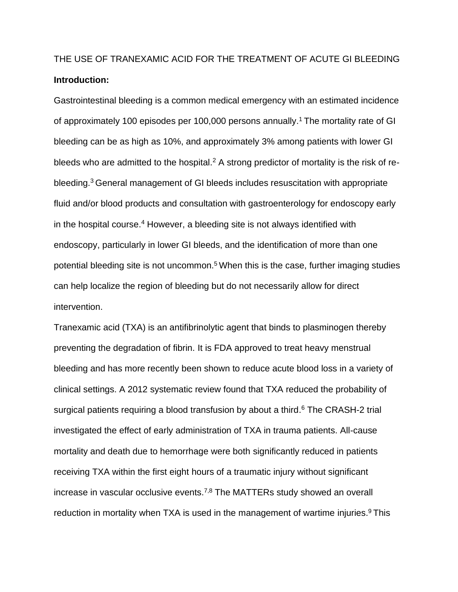# THE USE OF TRANEXAMIC ACID FOR THE TREATMENT OF ACUTE GI BLEEDING **Introduction:**

Gastrointestinal bleeding is a common medical emergency with an estimated incidence of approximately 100 episodes per 100,000 persons annually.<sup>1</sup> The mortality rate of GI bleeding can be as high as 10%, and approximately 3% among patients with lower GI bleeds who are admitted to the hospital.<sup>2</sup> A strong predictor of mortality is the risk of rebleeding.<sup>3</sup>General management of GI bleeds includes resuscitation with appropriate fluid and/or blood products and consultation with gastroenterology for endoscopy early in the hospital course. <sup>4</sup> However, a bleeding site is not always identified with endoscopy, particularly in lower GI bleeds, and the identification of more than one potential bleeding site is not uncommon.<sup>5</sup> When this is the case, further imaging studies can help localize the region of bleeding but do not necessarily allow for direct intervention.

Tranexamic acid (TXA) is an antifibrinolytic agent that binds to plasminogen thereby preventing the degradation of fibrin. It is FDA approved to treat heavy menstrual bleeding and has more recently been shown to reduce acute blood loss in a variety of clinical settings. A 2012 systematic review found that TXA reduced the probability of surgical patients requiring a blood transfusion by about a third.<sup>6</sup> The CRASH-2 trial investigated the effect of early administration of TXA in trauma patients. All-cause mortality and death due to hemorrhage were both significantly reduced in patients receiving TXA within the first eight hours of a traumatic injury without significant increase in vascular occlusive events.<sup>7,8</sup> The MATTERs study showed an overall reduction in mortality when TXA is used in the management of wartime injuries.<sup>9</sup> This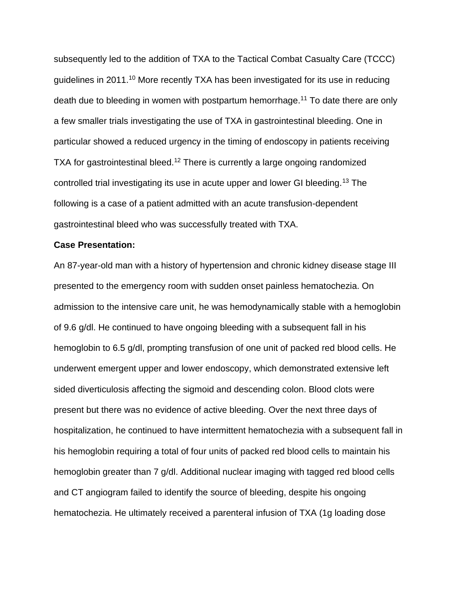subsequently led to the addition of TXA to the Tactical Combat Casualty Care (TCCC) guidelines in 2011.<sup>10</sup> More recently TXA has been investigated for its use in reducing death due to bleeding in women with postpartum hemorrhage. <sup>11</sup> To date there are only a few smaller trials investigating the use of TXA in gastrointestinal bleeding. One in particular showed a reduced urgency in the timing of endoscopy in patients receiving TXA for gastrointestinal bleed.<sup>12</sup> There is currently a large ongoing randomized controlled trial investigating its use in acute upper and lower GI bleeding.<sup>13</sup> The following is a case of a patient admitted with an acute transfusion-dependent gastrointestinal bleed who was successfully treated with TXA.

#### **Case Presentation:**

An 87-year-old man with a history of hypertension and chronic kidney disease stage III presented to the emergency room with sudden onset painless hematochezia. On admission to the intensive care unit, he was hemodynamically stable with a hemoglobin of 9.6 g/dl. He continued to have ongoing bleeding with a subsequent fall in his hemoglobin to 6.5 g/dl, prompting transfusion of one unit of packed red blood cells. He underwent emergent upper and lower endoscopy, which demonstrated extensive left sided diverticulosis affecting the sigmoid and descending colon. Blood clots were present but there was no evidence of active bleeding. Over the next three days of hospitalization, he continued to have intermittent hematochezia with a subsequent fall in his hemoglobin requiring a total of four units of packed red blood cells to maintain his hemoglobin greater than 7 g/dl. Additional nuclear imaging with tagged red blood cells and CT angiogram failed to identify the source of bleeding, despite his ongoing hematochezia. He ultimately received a parenteral infusion of TXA (1g loading dose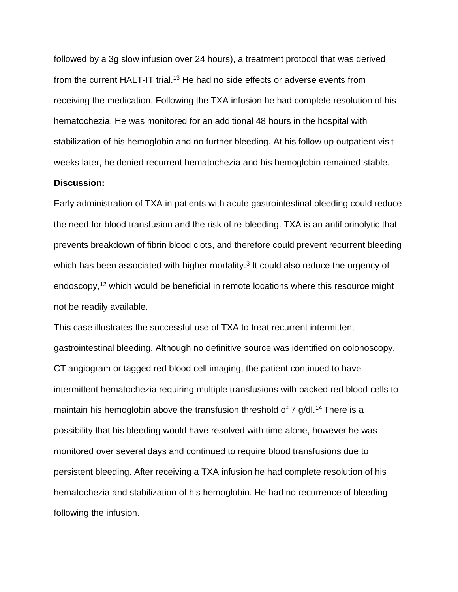followed by a 3g slow infusion over 24 hours), a treatment protocol that was derived from the current HALT-IT trial.<sup>13</sup> He had no side effects or adverse events from receiving the medication. Following the TXA infusion he had complete resolution of his hematochezia. He was monitored for an additional 48 hours in the hospital with stabilization of his hemoglobin and no further bleeding. At his follow up outpatient visit weeks later, he denied recurrent hematochezia and his hemoglobin remained stable.

#### **Discussion:**

Early administration of TXA in patients with acute gastrointestinal bleeding could reduce the need for blood transfusion and the risk of re-bleeding. TXA is an antifibrinolytic that prevents breakdown of fibrin blood clots, and therefore could prevent recurrent bleeding which has been associated with higher mortality.<sup>3</sup> It could also reduce the urgency of endoscopy,<sup>12</sup> which would be beneficial in remote locations where this resource might not be readily available.

This case illustrates the successful use of TXA to treat recurrent intermittent gastrointestinal bleeding. Although no definitive source was identified on colonoscopy, CT angiogram or tagged red blood cell imaging, the patient continued to have intermittent hematochezia requiring multiple transfusions with packed red blood cells to maintain his hemoglobin above the transfusion threshold of  $7$  g/dl.<sup>14</sup> There is a possibility that his bleeding would have resolved with time alone, however he was monitored over several days and continued to require blood transfusions due to persistent bleeding. After receiving a TXA infusion he had complete resolution of his hematochezia and stabilization of his hemoglobin. He had no recurrence of bleeding following the infusion.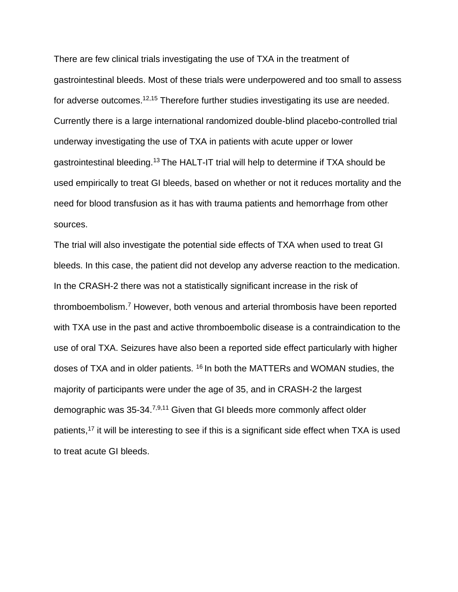There are few clinical trials investigating the use of TXA in the treatment of gastrointestinal bleeds. Most of these trials were underpowered and too small to assess for adverse outcomes.<sup>12,15</sup> Therefore further studies investigating its use are needed. Currently there is a large international randomized double-blind placebo-controlled trial underway investigating the use of TXA in patients with acute upper or lower gastrointestinal bleeding.<sup>13</sup> The HALT-IT trial will help to determine if TXA should be used empirically to treat GI bleeds, based on whether or not it reduces mortality and the need for blood transfusion as it has with trauma patients and hemorrhage from other sources.

The trial will also investigate the potential side effects of TXA when used to treat GI bleeds. In this case, the patient did not develop any adverse reaction to the medication. In the CRASH-2 there was not a statistically significant increase in the risk of thromboembolism.<sup>7</sup> However, both venous and arterial thrombosis have been reported with TXA use in the past and active thromboembolic disease is a contraindication to the use of oral TXA. Seizures have also been a reported side effect particularly with higher doses of TXA and in older patients. <sup>16</sup> In both the MATTERs and WOMAN studies, the majority of participants were under the age of 35, and in CRASH-2 the largest demographic was 35-34.7,9,11 Given that GI bleeds more commonly affect older patients,<sup>17</sup> it will be interesting to see if this is a significant side effect when TXA is used to treat acute GI bleeds.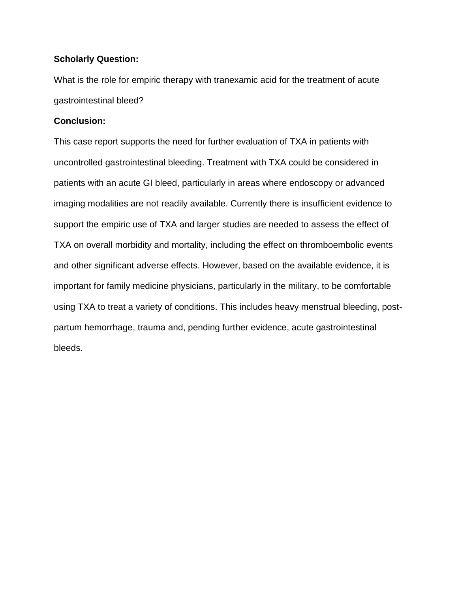### **Scholarly Question:**

What is the role for empiric therapy with tranexamic acid for the treatment of acute gastrointestinal bleed?

#### **Conclusion:**

This case report supports the need for further evaluation of TXA in patients with uncontrolled gastrointestinal bleeding. Treatment with TXA could be considered in patients with an acute GI bleed, particularly in areas where endoscopy or advanced imaging modalities are not readily available. Currently there is insufficient evidence to support the empiric use of TXA and larger studies are needed to assess the effect of TXA on overall morbidity and mortality, including the effect on thromboembolic events and other significant adverse effects. However, based on the available evidence, it is important for family medicine physicians, particularly in the military, to be comfortable using TXA to treat a variety of conditions. This includes heavy menstrual bleeding, postpartum hemorrhage, trauma and, pending further evidence, acute gastrointestinal bleeds.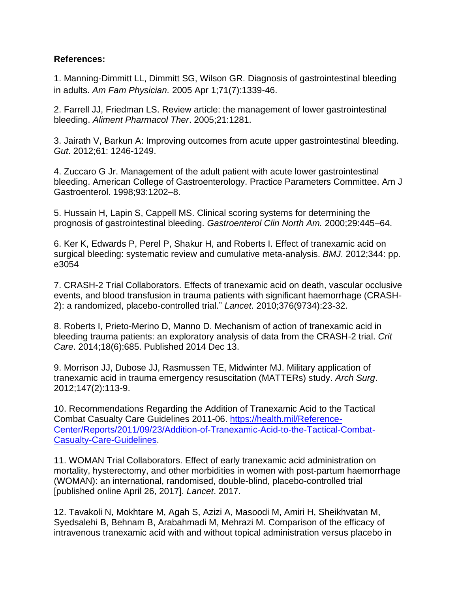## **References:**

1. Manning-Dimmitt LL, Dimmitt SG, Wilson GR. Diagnosis of gastrointestinal bleeding in adults. *Am Fam Physician.* 2005 Apr 1;71(7):1339-46.

2. Farrell JJ, Friedman LS. Review article: the management of lower gastrointestinal bleeding. *Aliment Pharmacol Ther*. 2005;21:1281.

3. Jairath V, Barkun A: Improving outcomes from acute upper gastrointestinal bleeding. *Gut*. 2012;61: 1246-1249.

4. Zuccaro G Jr. Management of the adult patient with acute lower gastrointestinal bleeding. American College of Gastroenterology. Practice Parameters Committee. Am J Gastroenterol. 1998;93:1202–8.

5. Hussain H, Lapin S, Cappell MS. Clinical scoring systems for determining the prognosis of gastrointestinal bleeding. *Gastroenterol Clin North Am.* 2000;29:445–64.

6. Ker K, Edwards P, Perel P, Shakur H, and Roberts I. Effect of tranexamic acid on surgical bleeding: systematic review and cumulative meta-analysis. *BMJ*. 2012;344: pp. e3054

7. CRASH-2 Trial Collaborators. Effects of tranexamic acid on death, vascular occlusive events, and blood transfusion in trauma patients with significant haemorrhage (CRASH-2): a randomized, placebo-controlled trial." *Lancet*. 2010;376(9734):23-32.

8. Roberts I, Prieto-Merino D, Manno D. Mechanism of action of tranexamic acid in bleeding trauma patients: an exploratory analysis of data from the CRASH-2 trial. *Crit Care*. 2014;18(6):685. Published 2014 Dec 13.

9. Morrison JJ, Dubose JJ, Rasmussen TE, Midwinter MJ. Military application of tranexamic acid in trauma emergency resuscitation (MATTERs) study. *Arch Surg*. 2012;147(2):113-9.

10. Recommendations Regarding the Addition of Tranexamic Acid to the Tactical Combat Casualty Care Guidelines 2011-06. [https://health.mil/Reference-](https://health.mil/Reference-Center/Reports/2011/09/23/Addition-of-Tranexamic-Acid-to-the-Tactical-Combat-Casualty-Care-Guidelines)[Center/Reports/2011/09/23/Addition-of-Tranexamic-Acid-to-the-Tactical-Combat-](https://health.mil/Reference-Center/Reports/2011/09/23/Addition-of-Tranexamic-Acid-to-the-Tactical-Combat-Casualty-Care-Guidelines)[Casualty-Care-Guidelines.](https://health.mil/Reference-Center/Reports/2011/09/23/Addition-of-Tranexamic-Acid-to-the-Tactical-Combat-Casualty-Care-Guidelines)

11. WOMAN Trial Collaborators. Effect of early tranexamic acid administration on mortality, hysterectomy, and other morbidities in women with post-partum haemorrhage (WOMAN): an international, randomised, double-blind, placebo-controlled trial [published online April 26, 2017]. *Lancet*. 2017.

12. Tavakoli N, Mokhtare M, Agah S, Azizi A, Masoodi M, Amiri H, Sheikhvatan M, Syedsalehi B, Behnam B, Arabahmadi M, Mehrazi M. Comparison of the efficacy of intravenous tranexamic acid with and without topical administration versus placebo in